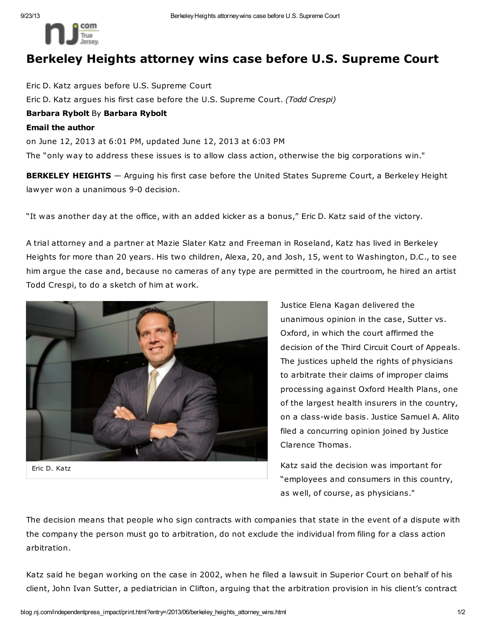

## Berkeley Heights attorney wins case before U.S. Supreme Court

Eric D. Katz argues before U.S. Supreme Court Eric D. Katz argues his first case before the U.S. Supreme Court. (Todd Crespi) Barbara Rybolt By Barbara Rybolt Email the author on June 12, 2013 at 6:01 PM, updated June 12, 2013 at 6:03 PM The "only way to address these issues is to allow class action, otherwise the big corporations win."

**BERKELEY HEIGHTS** - Arguing his first case before the United States Supreme Court, a Berkeley Height lawyer won a unanimous 9-0 decision.

"It was another day at the office, with an added kicker as a bonus," Eric D. Katz said of the victory.

A trial attorney and a partner at Mazie Slater Katz and Freeman in Roseland, Katz has lived in Berkeley Heights for more than 20 years. His two children, Alexa, 20, and Josh, 15, went to Washington, D.C., to see him argue the case and, because no cameras of any type are permitted in the courtroom, he hired an artist Todd Crespi, to do a sketch of him at work.



Eric D. Katz

Justice Elena Kagan delivered the unanimous opinion in the case, Sutter vs. Oxford, in which the court affirmed the decision of the Third Circuit Court of Appeals. The justices upheld the rights of physicians to arbitrate their claims of improper claims processing against Oxford Health Plans, one of the largest health insurers in the country, on a class-wide basis. Justice Samuel A. Alito filed a concurring opinion joined by Justice Clarence Thomas.

Katz said the decision was important for "employees and consumers in this country, as well, of course, as physicians."

The decision means that people who sign contracts with companies that state in the event of a dispute with the company the person must go to arbitration, do not exclude the individual from filing for a class action arbitration.

Katz said he began working on the case in 2002, when he filed a lawsuit in Superior Court on behalf of his client, John Ivan Sutter, a pediatrician in Clifton, arguing that the arbitration provision in his client's contract